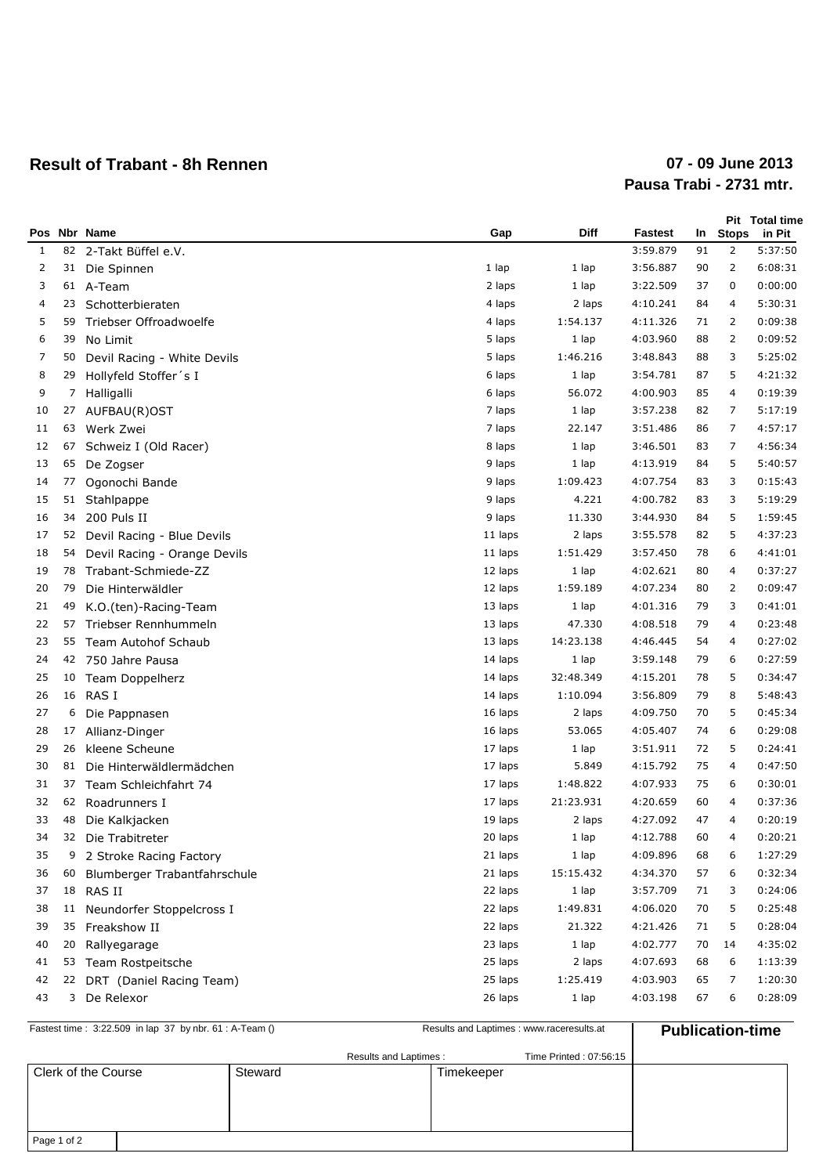## **Result of Trabant - 8h Rennen**

## **Pausa Trabi - 2731 mtr. 07 - 09 June 2013**

| Pos |    | Nbr Name                     | Gap     | Diff      | Fastest  | In | <b>Stops</b>   | Pit Total time<br>in Pit |
|-----|----|------------------------------|---------|-----------|----------|----|----------------|--------------------------|
| 1   | 82 | 2-Takt Büffel e.V.           |         |           | 3:59.879 | 91 | $\overline{2}$ | 5:37:50                  |
| 2   | 31 | Die Spinnen                  | 1 lap   | 1 lap     | 3:56.887 | 90 | 2              | 6:08:31                  |
| 3   |    | 61 A-Team                    | 2 laps  | 1 lap     | 3:22.509 | 37 | 0              | 0:00:00                  |
| 4   | 23 | Schotterbieraten             | 4 laps  | 2 laps    | 4:10.241 | 84 | 4              | 5:30:31                  |
| 5   | 59 | Triebser Offroadwoelfe       | 4 laps  | 1:54.137  | 4:11.326 | 71 | 2              | 0:09:38                  |
| 6   | 39 | No Limit                     | 5 laps  | 1 lap     | 4:03.960 | 88 | $\overline{2}$ | 0:09:52                  |
| 7   | 50 | Devil Racing - White Devils  | 5 laps  | 1:46.216  | 3:48.843 | 88 | 3              | 5:25:02                  |
| 8   | 29 | Hollyfeld Stoffer's I        | 6 laps  | 1 lap     | 3:54.781 | 87 | 5              | 4:21:32                  |
| 9   | 7  | Halligalli                   | 6 laps  | 56.072    | 4:00.903 | 85 | 4              | 0:19:39                  |
| 10  | 27 | AUFBAU(R)OST                 | 7 laps  | 1 lap     | 3:57.238 | 82 | 7              | 5:17:19                  |
| 11  | 63 | Werk Zwei                    | 7 laps  | 22.147    | 3:51.486 | 86 | 7              | 4:57:17                  |
| 12  | 67 | Schweiz I (Old Racer)        | 8 laps  | 1 lap     | 3:46.501 | 83 | 7              | 4:56:34                  |
| 13  | 65 | De Zogser                    | 9 laps  | 1 lap     | 4:13.919 | 84 | 5              | 5:40:57                  |
| 14  | 77 | Ogonochi Bande               | 9 laps  | 1:09.423  | 4:07.754 | 83 | 3              | 0:15:43                  |
| 15  | 51 | Stahlpappe                   | 9 laps  | 4.221     | 4:00.782 | 83 | 3              | 5:19:29                  |
| 16  | 34 | 200 Puls II                  | 9 laps  | 11.330    | 3:44.930 | 84 | 5              | 1:59:45                  |
| 17  | 52 | Devil Racing - Blue Devils   | 11 laps | 2 laps    | 3:55.578 | 82 | 5              | 4:37:23                  |
| 18  | 54 | Devil Racing - Orange Devils | 11 laps | 1:51.429  | 3:57.450 | 78 | 6              | 4:41:01                  |
| 19  | 78 | Trabant-Schmiede-ZZ          | 12 laps | 1 lap     | 4:02.621 | 80 | 4              | 0:37:27                  |
| 20  | 79 | Die Hinterwäldler            | 12 laps | 1:59.189  | 4:07.234 | 80 | 2              | 0:09:47                  |
| 21  | 49 | K.O.(ten)-Racing-Team        | 13 laps | 1 lap     | 4:01.316 | 79 | 3              | 0:41:01                  |
| 22  | 57 | Triebser Rennhummeln         | 13 laps | 47.330    | 4:08.518 | 79 | 4              | 0:23:48                  |
| 23  | 55 | Team Autohof Schaub          | 13 laps | 14:23.138 | 4:46.445 | 54 | 4              | 0:27:02                  |
| 24  |    | 42 750 Jahre Pausa           | 14 laps | 1 lap     | 3:59.148 | 79 | 6              | 0:27:59                  |
| 25  | 10 | Team Doppelherz              | 14 laps | 32:48.349 | 4:15.201 | 78 | 5              | 0:34:47                  |
| 26  |    | 16 RAS I                     | 14 laps | 1:10.094  | 3:56.809 | 79 | 8              | 5:48:43                  |
| 27  | 6  | Die Pappnasen                | 16 laps | 2 laps    | 4:09.750 | 70 | 5              | 0:45:34                  |
| 28  | 17 | Allianz-Dinger               | 16 laps | 53.065    | 4:05.407 | 74 | 6              | 0:29:08                  |
| 29  | 26 | kleene Scheune               | 17 laps | 1 lap     | 3:51.911 | 72 | 5              | 0:24:41                  |
| 30  | 81 | Die Hinterwäldlermädchen     | 17 laps | 5.849     | 4:15.792 | 75 | 4              | 0:47:50                  |
| 31  | 37 | Team Schleichfahrt 74        | 17 laps | 1:48.822  | 4:07.933 | 75 | 6              | 0:30:01                  |
| 32  | 62 | Roadrunners I                | 17 laps | 21:23.931 | 4:20.659 | 60 | 4              | 0:37:36                  |
| 33  | 48 | Die Kalkjacken               | 19 laps | 2 laps    | 4:27.092 | 47 | 4              | 0:20:19                  |
| 34  |    | 32 Die Trabitreter           | 20 laps | 1 lap     | 4:12.788 | 60 | 4              | 0:20:21                  |
| 35  | 9  | 2 Stroke Racing Factory      | 21 laps | 1 lap     | 4:09.896 | 68 | 6              | 1:27:29                  |
| 36  | 60 | Blumberger Trabantfahrschule | 21 laps | 15:15.432 | 4:34.370 | 57 | 6              | 0:32:34                  |
| 37  | 18 | RAS II                       | 22 laps | 1 lap     | 3:57.709 | 71 | 3              | 0:24:06                  |
| 38  |    | 11 Neundorfer Stoppelcross I | 22 laps | 1:49.831  | 4:06.020 | 70 | 5              | 0:25:48                  |
| 39  | 35 | Freakshow II                 | 22 laps | 21.322    | 4:21.426 | 71 | 5              | 0:28:04                  |
| 40  | 20 | Rallyegarage                 | 23 laps | 1 lap     | 4:02.777 | 70 | 14             | 4:35:02                  |
| 41  | 53 | Team Rostpeitsche            | 25 laps | 2 laps    | 4:07.693 | 68 | 6              | 1:13:39                  |
| 42  |    | 22 DRT (Daniel Racing Team)  | 25 laps | 1:25.419  | 4:03.903 | 65 | 7              | 1:20:30                  |
| 43  |    | 3 De Relexor                 | 26 laps | 1 lap     | 4:03.198 | 67 | 6              | 0:28:09                  |

| Fastest time: 3:22.509 in lap 37 by nbr. 61 : A-Team () | Results and Laptimes : www.raceresults.at |                        |            | <b>Publication-time</b> |  |
|---------------------------------------------------------|-------------------------------------------|------------------------|------------|-------------------------|--|
|                                                         |                                           | Results and Laptimes : |            | Time Printed: 07:56:15  |  |
| Clerk of the Course                                     | Steward                                   |                        | Timekeeper |                         |  |
|                                                         |                                           |                        |            |                         |  |
|                                                         |                                           |                        |            |                         |  |
|                                                         |                                           |                        |            |                         |  |
| Page 1 of 2                                             |                                           |                        |            |                         |  |